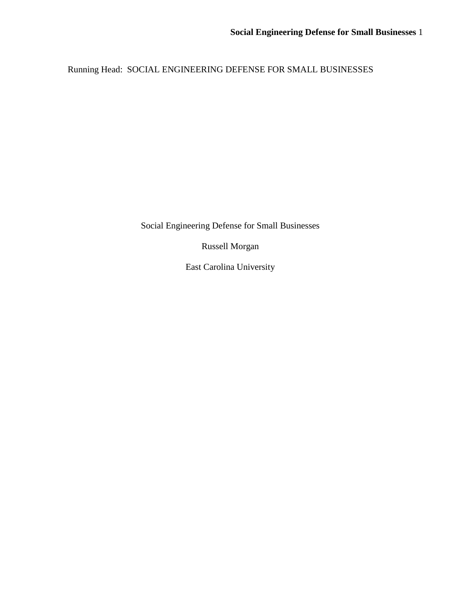Running Head: SOCIAL ENGINEERING DEFENSE FOR SMALL BUSINESSES

Social Engineering Defense for Small Businesses

Russell Morgan

East Carolina University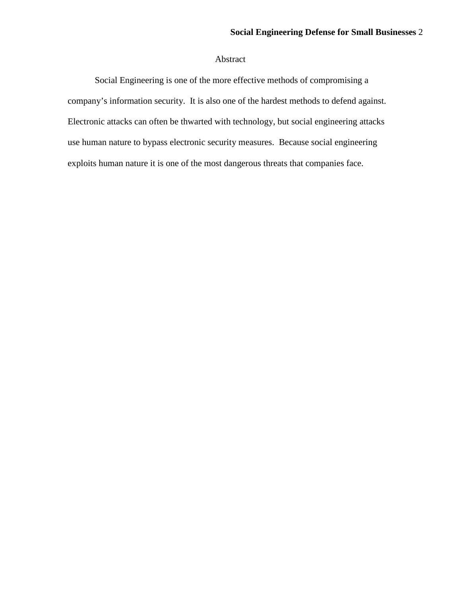# Abstract

Social Engineering is one of the more effective methods of compromising a company's information security. It is also one of the hardest methods to defend against. Electronic attacks can often be thwarted with technology, but social engineering attacks use human nature to bypass electronic security measures. Because social engineering exploits human nature it is one of the most dangerous threats that companies face.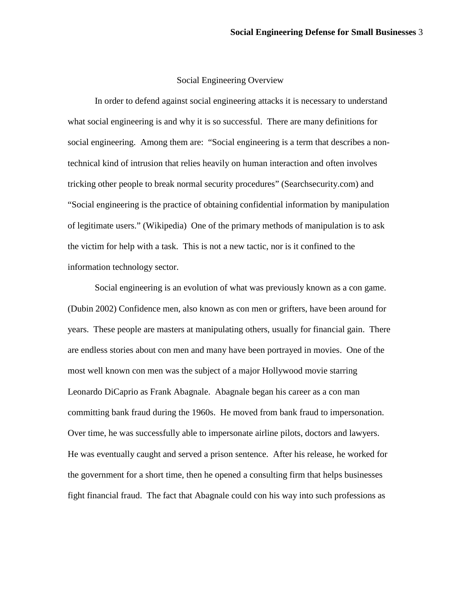### Social Engineering Overview

In order to defend against social engineering attacks it is necessary to understand what social engineering is and why it is so successful. There are many definitions for social engineering. Among them are: "Social engineering is a term that describes a nontechnical kind of intrusion that relies heavily on human interaction and often involves tricking other people to break normal security procedures" (Searchsecurity.com) and "Social engineering is the practice of obtaining confidential information by manipulation of legitimate users." (Wikipedia) One of the primary methods of manipulation is to ask the victim for help with a task. This is not a new tactic, nor is it confined to the information technology sector.

Social engineering is an evolution of what was previously known as a con game. (Dubin 2002) Confidence men, also known as con men or grifters, have been around for years. These people are masters at manipulating others, usually for financial gain. There are endless stories about con men and many have been portrayed in movies. One of the most well known con men was the subject of a major Hollywood movie starring Leonardo DiCaprio as Frank Abagnale. Abagnale began his career as a con man committing bank fraud during the 1960s. He moved from bank fraud to impersonation. Over time, he was successfully able to impersonate airline pilots, doctors and lawyers. He was eventually caught and served a prison sentence. After his release, he worked for the government for a short time, then he opened a consulting firm that helps businesses fight financial fraud. The fact that Abagnale could con his way into such professions as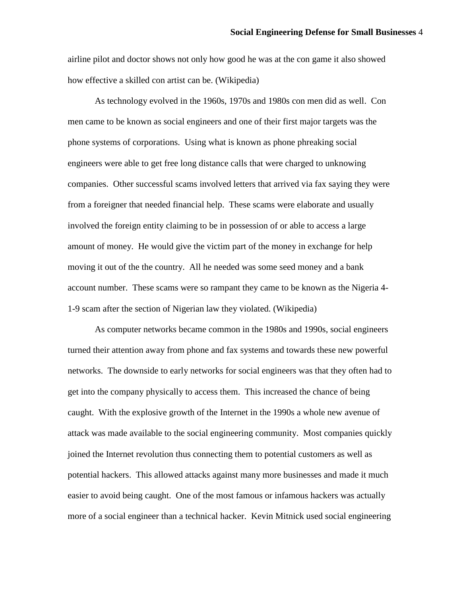airline pilot and doctor shows not only how good he was at the con game it also showed how effective a skilled con artist can be. (Wikipedia)

As technology evolved in the 1960s, 1970s and 1980s con men did as well. Con men came to be known as social engineers and one of their first major targets was the phone systems of corporations. Using what is known as phone phreaking social engineers were able to get free long distance calls that were charged to unknowing companies. Other successful scams involved letters that arrived via fax saying they were from a foreigner that needed financial help. These scams were elaborate and usually involved the foreign entity claiming to be in possession of or able to access a large amount of money. He would give the victim part of the money in exchange for help moving it out of the the country. All he needed was some seed money and a bank account number. These scams were so rampant they came to be known as the Nigeria 4- 1-9 scam after the section of Nigerian law they violated. (Wikipedia)

As computer networks became common in the 1980s and 1990s, social engineers turned their attention away from phone and fax systems and towards these new powerful networks. The downside to early networks for social engineers was that they often had to get into the company physically to access them. This increased the chance of being caught. With the explosive growth of the Internet in the 1990s a whole new avenue of attack was made available to the social engineering community. Most companies quickly joined the Internet revolution thus connecting them to potential customers as well as potential hackers. This allowed attacks against many more businesses and made it much easier to avoid being caught. One of the most famous or infamous hackers was actually more of a social engineer than a technical hacker. Kevin Mitnick used social engineering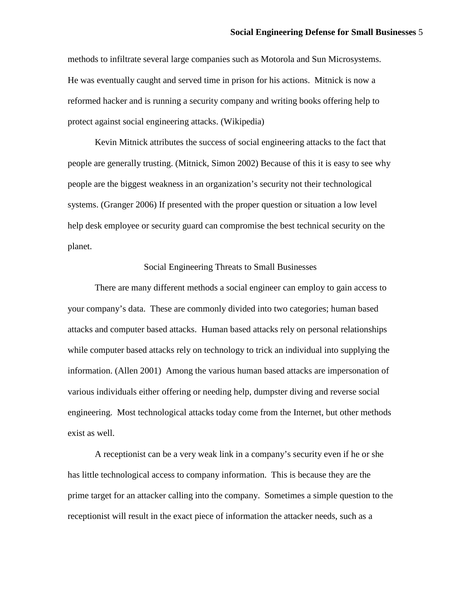methods to infiltrate several large companies such as Motorola and Sun Microsystems. He was eventually caught and served time in prison for his actions. Mitnick is now a reformed hacker and is running a security company and writing books offering help to protect against social engineering attacks. (Wikipedia)

Kevin Mitnick attributes the success of social engineering attacks to the fact that people are generally trusting. (Mitnick, Simon 2002) Because of this it is easy to see why people are the biggest weakness in an organization's security not their technological systems. (Granger 2006) If presented with the proper question or situation a low level help desk employee or security guard can compromise the best technical security on the planet.

#### Social Engineering Threats to Small Businesses

There are many different methods a social engineer can employ to gain access to your company's data. These are commonly divided into two categories; human based attacks and computer based attacks. Human based attacks rely on personal relationships while computer based attacks rely on technology to trick an individual into supplying the information. (Allen 2001) Among the various human based attacks are impersonation of various individuals either offering or needing help, dumpster diving and reverse social engineering. Most technological attacks today come from the Internet, but other methods exist as well.

A receptionist can be a very weak link in a company's security even if he or she has little technological access to company information. This is because they are the prime target for an attacker calling into the company. Sometimes a simple question to the receptionist will result in the exact piece of information the attacker needs, such as a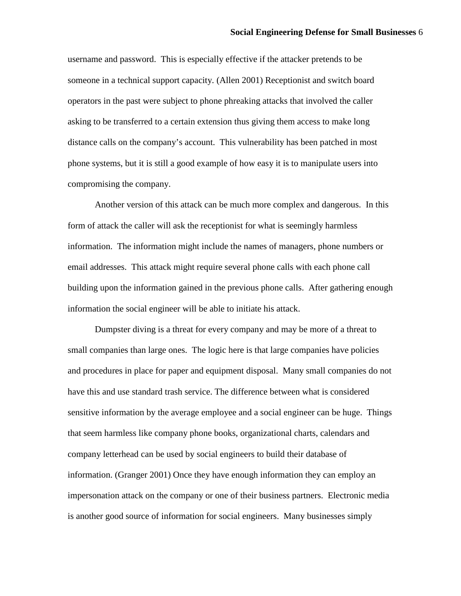username and password. This is especially effective if the attacker pretends to be someone in a technical support capacity. (Allen 2001) Receptionist and switch board operators in the past were subject to phone phreaking attacks that involved the caller asking to be transferred to a certain extension thus giving them access to make long distance calls on the company's account. This vulnerability has been patched in most phone systems, but it is still a good example of how easy it is to manipulate users into compromising the company.

Another version of this attack can be much more complex and dangerous. In this form of attack the caller will ask the receptionist for what is seemingly harmless information. The information might include the names of managers, phone numbers or email addresses. This attack might require several phone calls with each phone call building upon the information gained in the previous phone calls. After gathering enough information the social engineer will be able to initiate his attack.

Dumpster diving is a threat for every company and may be more of a threat to small companies than large ones. The logic here is that large companies have policies and procedures in place for paper and equipment disposal. Many small companies do not have this and use standard trash service. The difference between what is considered sensitive information by the average employee and a social engineer can be huge. Things that seem harmless like company phone books, organizational charts, calendars and company letterhead can be used by social engineers to build their database of information. (Granger 2001) Once they have enough information they can employ an impersonation attack on the company or one of their business partners. Electronic media is another good source of information for social engineers. Many businesses simply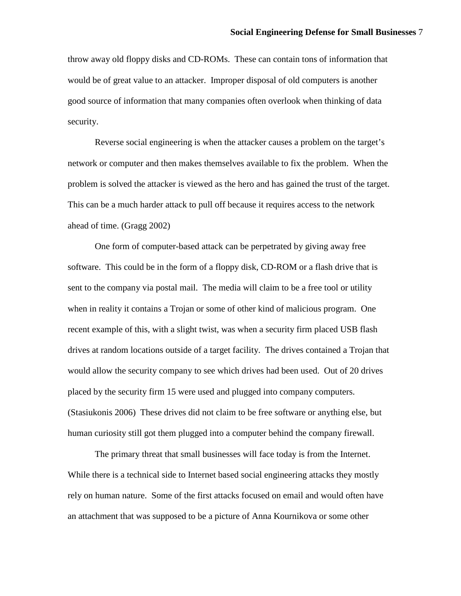throw away old floppy disks and CD-ROMs. These can contain tons of information that would be of great value to an attacker. Improper disposal of old computers is another good source of information that many companies often overlook when thinking of data security.

Reverse social engineering is when the attacker causes a problem on the target's network or computer and then makes themselves available to fix the problem. When the problem is solved the attacker is viewed as the hero and has gained the trust of the target. This can be a much harder attack to pull off because it requires access to the network ahead of time. (Gragg 2002)

One form of computer-based attack can be perpetrated by giving away free software. This could be in the form of a floppy disk, CD-ROM or a flash drive that is sent to the company via postal mail. The media will claim to be a free tool or utility when in reality it contains a Trojan or some of other kind of malicious program. One recent example of this, with a slight twist, was when a security firm placed USB flash drives at random locations outside of a target facility. The drives contained a Trojan that would allow the security company to see which drives had been used. Out of 20 drives placed by the security firm 15 were used and plugged into company computers. (Stasiukonis 2006) These drives did not claim to be free software or anything else, but human curiosity still got them plugged into a computer behind the company firewall.

The primary threat that small businesses will face today is from the Internet. While there is a technical side to Internet based social engineering attacks they mostly rely on human nature. Some of the first attacks focused on email and would often have an attachment that was supposed to be a picture of Anna Kournikova or some other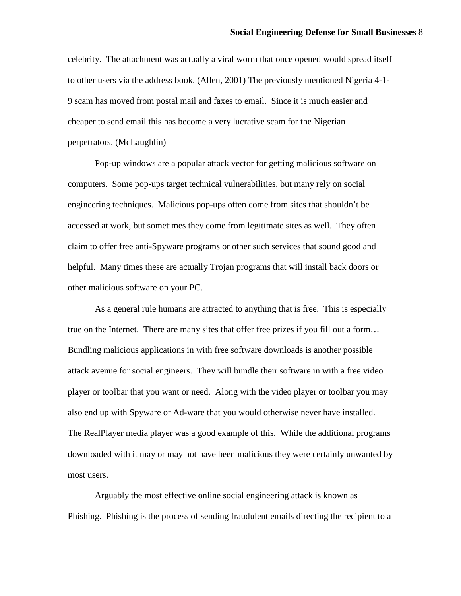celebrity. The attachment was actually a viral worm that once opened would spread itself to other users via the address book. (Allen, 2001) The previously mentioned Nigeria 4-1- 9 scam has moved from postal mail and faxes to email. Since it is much easier and cheaper to send email this has become a very lucrative scam for the Nigerian perpetrators. (McLaughlin)

Pop-up windows are a popular attack vector for getting malicious software on computers. Some pop-ups target technical vulnerabilities, but many rely on social engineering techniques. Malicious pop-ups often come from sites that shouldn't be accessed at work, but sometimes they come from legitimate sites as well. They often claim to offer free anti-Spyware programs or other such services that sound good and helpful. Many times these are actually Trojan programs that will install back doors or other malicious software on your PC.

As a general rule humans are attracted to anything that is free. This is especially true on the Internet. There are many sites that offer free prizes if you fill out a form… Bundling malicious applications in with free software downloads is another possible attack avenue for social engineers. They will bundle their software in with a free video player or toolbar that you want or need. Along with the video player or toolbar you may also end up with Spyware or Ad-ware that you would otherwise never have installed. The RealPlayer media player was a good example of this. While the additional programs downloaded with it may or may not have been malicious they were certainly unwanted by most users.

Arguably the most effective online social engineering attack is known as Phishing. Phishing is the process of sending fraudulent emails directing the recipient to a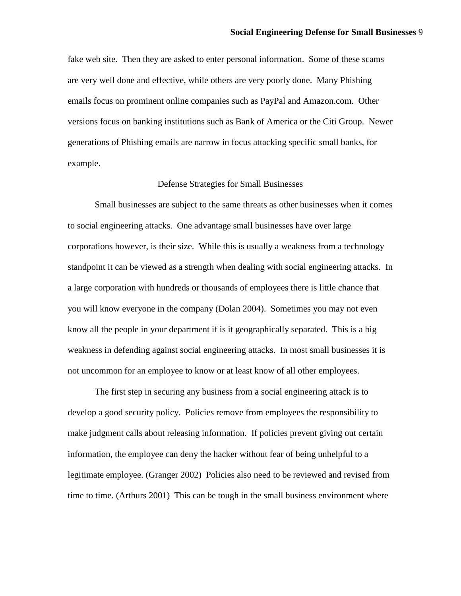fake web site. Then they are asked to enter personal information. Some of these scams are very well done and effective, while others are very poorly done. Many Phishing emails focus on prominent online companies such as PayPal and Amazon.com. Other versions focus on banking institutions such as Bank of America or the Citi Group. Newer generations of Phishing emails are narrow in focus attacking specific small banks, for example.

#### Defense Strategies for Small Businesses

Small businesses are subject to the same threats as other businesses when it comes to social engineering attacks. One advantage small businesses have over large corporations however, is their size. While this is usually a weakness from a technology standpoint it can be viewed as a strength when dealing with social engineering attacks. In a large corporation with hundreds or thousands of employees there is little chance that you will know everyone in the company (Dolan 2004). Sometimes you may not even know all the people in your department if is it geographically separated. This is a big weakness in defending against social engineering attacks. In most small businesses it is not uncommon for an employee to know or at least know of all other employees.

The first step in securing any business from a social engineering attack is to develop a good security policy. Policies remove from employees the responsibility to make judgment calls about releasing information. If policies prevent giving out certain information, the employee can deny the hacker without fear of being unhelpful to a legitimate employee. (Granger 2002) Policies also need to be reviewed and revised from time to time. (Arthurs 2001) This can be tough in the small business environment where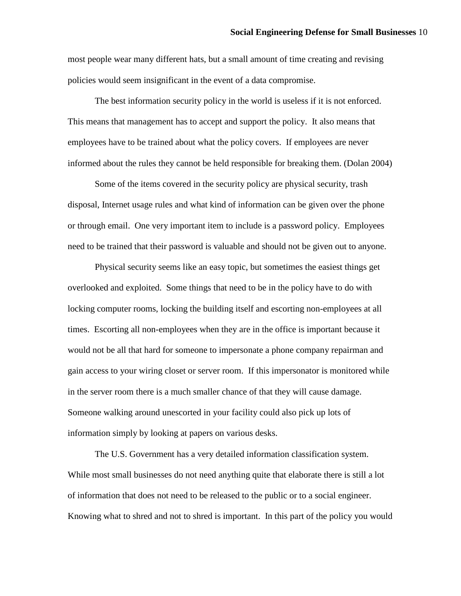most people wear many different hats, but a small amount of time creating and revising policies would seem insignificant in the event of a data compromise.

The best information security policy in the world is useless if it is not enforced. This means that management has to accept and support the policy. It also means that employees have to be trained about what the policy covers. If employees are never informed about the rules they cannot be held responsible for breaking them. (Dolan 2004)

Some of the items covered in the security policy are physical security, trash disposal, Internet usage rules and what kind of information can be given over the phone or through email. One very important item to include is a password policy. Employees need to be trained that their password is valuable and should not be given out to anyone.

Physical security seems like an easy topic, but sometimes the easiest things get overlooked and exploited. Some things that need to be in the policy have to do with locking computer rooms, locking the building itself and escorting non-employees at all times. Escorting all non-employees when they are in the office is important because it would not be all that hard for someone to impersonate a phone company repairman and gain access to your wiring closet or server room. If this impersonator is monitored while in the server room there is a much smaller chance of that they will cause damage. Someone walking around unescorted in your facility could also pick up lots of information simply by looking at papers on various desks.

The U.S. Government has a very detailed information classification system. While most small businesses do not need anything quite that elaborate there is still a lot of information that does not need to be released to the public or to a social engineer. Knowing what to shred and not to shred is important. In this part of the policy you would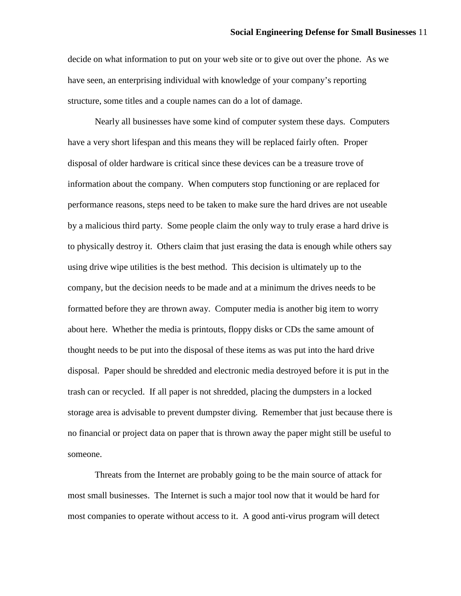decide on what information to put on your web site or to give out over the phone. As we have seen, an enterprising individual with knowledge of your company's reporting structure, some titles and a couple names can do a lot of damage.

Nearly all businesses have some kind of computer system these days. Computers have a very short lifespan and this means they will be replaced fairly often. Proper disposal of older hardware is critical since these devices can be a treasure trove of information about the company. When computers stop functioning or are replaced for performance reasons, steps need to be taken to make sure the hard drives are not useable by a malicious third party. Some people claim the only way to truly erase a hard drive is to physically destroy it. Others claim that just erasing the data is enough while others say using drive wipe utilities is the best method. This decision is ultimately up to the company, but the decision needs to be made and at a minimum the drives needs to be formatted before they are thrown away. Computer media is another big item to worry about here. Whether the media is printouts, floppy disks or CDs the same amount of thought needs to be put into the disposal of these items as was put into the hard drive disposal. Paper should be shredded and electronic media destroyed before it is put in the trash can or recycled. If all paper is not shredded, placing the dumpsters in a locked storage area is advisable to prevent dumpster diving. Remember that just because there is no financial or project data on paper that is thrown away the paper might still be useful to someone.

Threats from the Internet are probably going to be the main source of attack for most small businesses. The Internet is such a major tool now that it would be hard for most companies to operate without access to it. A good anti-virus program will detect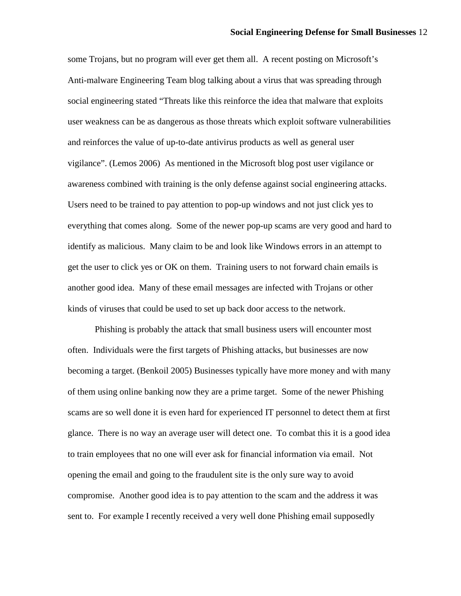some Trojans, but no program will ever get them all. A recent posting on Microsoft's Anti-malware Engineering Team blog talking about a virus that was spreading through social engineering stated "Threats like this reinforce the idea that malware that exploits user weakness can be as dangerous as those threats which exploit software vulnerabilities and reinforces the value of up-to-date antivirus products as well as general user vigilance". (Lemos 2006) As mentioned in the Microsoft blog post user vigilance or awareness combined with training is the only defense against social engineering attacks. Users need to be trained to pay attention to pop-up windows and not just click yes to everything that comes along. Some of the newer pop-up scams are very good and hard to identify as malicious. Many claim to be and look like Windows errors in an attempt to get the user to click yes or OK on them. Training users to not forward chain emails is another good idea. Many of these email messages are infected with Trojans or other kinds of viruses that could be used to set up back door access to the network.

Phishing is probably the attack that small business users will encounter most often. Individuals were the first targets of Phishing attacks, but businesses are now becoming a target. (Benkoil 2005) Businesses typically have more money and with many of them using online banking now they are a prime target. Some of the newer Phishing scams are so well done it is even hard for experienced IT personnel to detect them at first glance. There is no way an average user will detect one. To combat this it is a good idea to train employees that no one will ever ask for financial information via email. Not opening the email and going to the fraudulent site is the only sure way to avoid compromise. Another good idea is to pay attention to the scam and the address it was sent to. For example I recently received a very well done Phishing email supposedly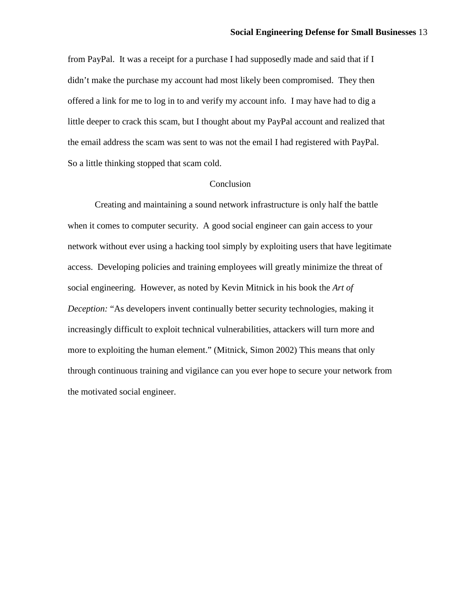from PayPal. It was a receipt for a purchase I had supposedly made and said that if I didn't make the purchase my account had most likely been compromised. They then offered a link for me to log in to and verify my account info. I may have had to dig a little deeper to crack this scam, but I thought about my PayPal account and realized that the email address the scam was sent to was not the email I had registered with PayPal. So a little thinking stopped that scam cold.

## Conclusion

Creating and maintaining a sound network infrastructure is only half the battle when it comes to computer security. A good social engineer can gain access to your network without ever using a hacking tool simply by exploiting users that have legitimate access. Developing policies and training employees will greatly minimize the threat of social engineering. However, as noted by Kevin Mitnick in his book the *Art of Deception:* "As developers invent continually better security technologies, making it increasingly difficult to exploit technical vulnerabilities, attackers will turn more and more to exploiting the human element." (Mitnick, Simon 2002) This means that only through continuous training and vigilance can you ever hope to secure your network from the motivated social engineer.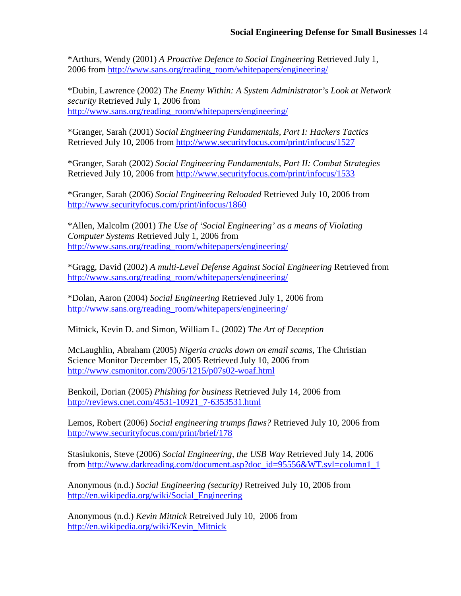\*Arthurs, Wendy (2001) *A Proactive Defence to Social Engineering* Retrieved July 1, 2006 from [http://www.sans.org/reading\\_r](http://www.sans.org/)oom/whitepapers/engineering/

\*Dubin, Lawrence (2002) T*he Enemy Within: A System Administrator's Look at Network security* Retrieved July 1, 2006 from [http://www.sans.or](http://www.sans.org/)g/reading\_room/whitepapers/engineering/

\*Granger, Sarah (2001) *Social Engineering Fundamentals, Part I: Hackers Tactics* Retrieved July 10, 2006 from <http://www.securityfocus.com/print/infocus/1527>

\*Granger, Sarah (2002) *Social Engineering Fundamentals, Part II: Combat Strategies* Retrieved July 10, 2006 from <http://www.securityfocus.com/print/infocus/1533>

\*Granger, Sarah (2006) *Social Engineering Reloaded* Retrieved July 10, 2006 from [http://www.security](http://www.securityfocus.com/print/infocus/1860)focus.com/print/infocus/1860

\*Allen, Malcolm (2001) *The Use of 'Social Engineering' as a means of Violating Computer Systems* Retrieved July 1, 2006 from [http://www.sans.or](http://www.sans.org/)g/reading\_room/whitepapers/engineering/

\*Gragg, David (2002) *A multi-Level Defense Against Social Engineering* Retrieved from [http://www.sans.or](http://www.sans.org/)g/reading\_room/whitepapers/engineering/

\*Dolan, Aaron (2004) *Social Engineering* Retrieved July 1, 2006 from [http://www.sans.or](http://www.sans.org/)g/reading\_room/whitepapers/engineering/

Mitnick, Kevin D. and Simon, William L. (2002) *The Art of Deception*

McLaughlin, Abraham (2005) *Nigeria cracks down on email scams*, The Christian Science Monitor December 15, 2005 Retrieved July 10, 2006 from [http://www.csmoni](http://www.csmonitor.com/2005/1215/p07s02-woaf.html)tor.com/2005/1215/p07s02-woaf.html

Benkoil, Dorian (2005) *Phishing for business* Retrieved July 14, 2006 from [http://reviews.cnet.](http://reviews.cnet.com/4531-10921_7-6353531.html)com/4531-10921\_7-6353531.html

Lemos, Robert (2006) *Social engineering trumps flaws?* Retrieved July 10, 2006 from [http://www.security](http://www.securityfocus.com/print/brief/178)focus.com/print/brief/178

Stasiukonis, Steve (2006) *Social Engineering, the USB Way* Retrieved July 14, 2006 from [http://www.darkreading.](http://www.darkreading.com/document.asp?doc_id=95556&WT.svl=column1_1)com/document.asp?doc\_id=95556&WT.svl=column1\_1

Anonymous (n.d.) *Social Engineering (security)* Retreived July 10, 2006 from [http://en.wikipedia.](http://en.wikipedia.org/wiki/Social_Engineering)org/wiki/Social\_Engineering

Anonymous (n.d.) *Kevin Mitnick* Retreived July 10, 2006 from [http://en.wikipedia.](http://en.wikipedia.org/wiki/Kevin_Mitnick)org/wiki/Kevin\_Mitnick